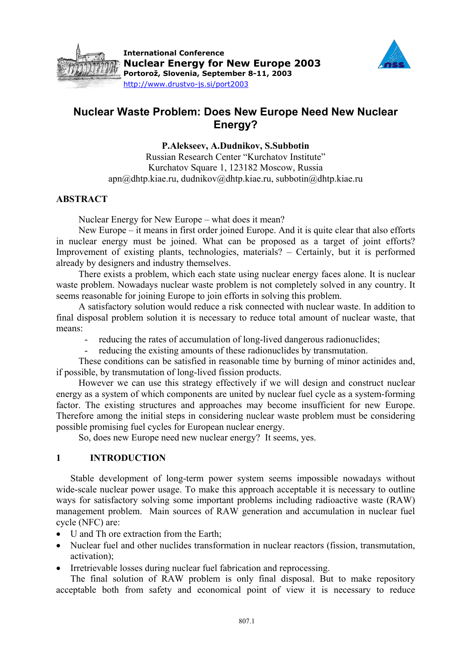



# **Nuclear Waste Problem: Does New Europe Need New Nuclear Energy?**

**P.Alekseev, A.Dudnikov, S.Subbotin** 

Russian Research Center "Kurchatov Institute" Kurchatov Square 1, 123182 Moscow, Russia apn@dhtp.kiae.ru, dudnikov@dhtp.kiae.ru, subbotin@dhtp.kiae.ru

## **ABSTRACT**

Nuclear Energy for New Europe – what does it mean?

New Europe – it means in first order joined Europe. And it is quite clear that also efforts in nuclear energy must be joined. What can be proposed as a target of joint efforts? Improvement of existing plants, technologies, materials? – Certainly, but it is performed already by designers and industry themselves.

There exists a problem, which each state using nuclear energy faces alone. It is nuclear waste problem. Nowadays nuclear waste problem is not completely solved in any country. It seems reasonable for joining Europe to join efforts in solving this problem.

A satisfactory solution would reduce a risk connected with nuclear waste. In addition to final disposal problem solution it is necessary to reduce total amount of nuclear waste, that means:

- reducing the rates of accumulation of long-lived dangerous radionuclides;

- reducing the existing amounts of these radionuclides by transmutation.

These conditions can be satisfied in reasonable time by burning of minor actinides and, if possible, by transmutation of long-lived fission products.

However we can use this strategy effectively if we will design and construct nuclear energy as a system of which components are united by nuclear fuel cycle as a system-forming factor. The existing structures and approaches may become insufficient for new Europe. Therefore among the initial steps in considering nuclear waste problem must be considering possible promising fuel cycles for European nuclear energy.

So, does new Europe need new nuclear energy? It seems, yes.

## **1 INTRODUCTION**

Stable development of long-term power system seems impossible nowadays without wide-scale nuclear power usage. To make this approach acceptable it is necessary to outline ways for satisfactory solving some important problems including radioactive waste (RAW) management problem. Main sources of RAW generation and accumulation in nuclear fuel cycle (NFC) are:

- U and Th ore extraction from the Earth:
- Nuclear fuel and other nuclides transformation in nuclear reactors (fission, transmutation, activation);
- Irretrievable losses during nuclear fuel fabrication and reprocessing.

The final solution of RAW problem is only final disposal. But to make repository acceptable both from safety and economical point of view it is necessary to reduce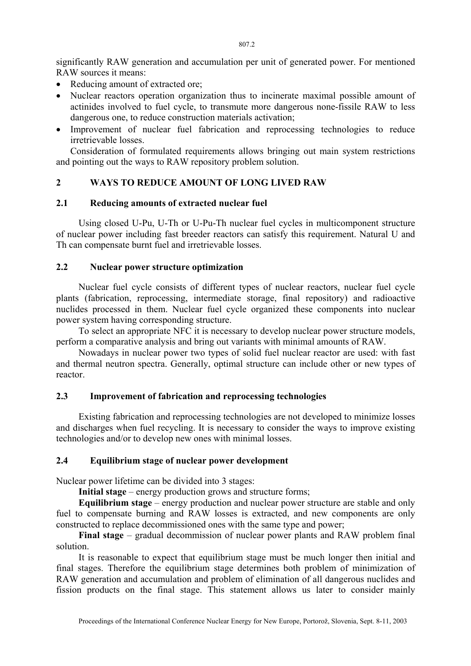significantly RAW generation and accumulation per unit of generated power. For mentioned RAW sources it means:

- Reducing amount of extracted ore:
- Nuclear reactors operation organization thus to incinerate maximal possible amount of actinides involved to fuel cycle, to transmute more dangerous none-fissile RAW to less dangerous one, to reduce construction materials activation;
- Improvement of nuclear fuel fabrication and reprocessing technologies to reduce irretrievable losses.

Consideration of formulated requirements allows bringing out main system restrictions and pointing out the ways to RAW repository problem solution.

# **2 WAYS TO REDUCE AMOUNT OF LONG LIVED RAW**

#### **2.1 Reducing amounts of extracted nuclear fuel**

Using closed U-Pu, U-Th or U-Pu-Th nuclear fuel cycles in multicomponent structure of nuclear power including fast breeder reactors can satisfy this requirement. Natural U and Th can compensate burnt fuel and irretrievable losses.

# **2.2 Nuclear power structure optimization**

Nuclear fuel cycle consists of different types of nuclear reactors, nuclear fuel cycle plants (fabrication, reprocessing, intermediate storage, final repository) and radioactive nuclides processed in them. Nuclear fuel cycle organized these components into nuclear power system having corresponding structure.

To select an appropriate NFC it is necessary to develop nuclear power structure models, perform a comparative analysis and bring out variants with minimal amounts of RAW.

Nowadays in nuclear power two types of solid fuel nuclear reactor are used: with fast and thermal neutron spectra. Generally, optimal structure can include other or new types of reactor.

## **2.3 Improvement of fabrication and reprocessing technologies**

Existing fabrication and reprocessing technologies are not developed to minimize losses and discharges when fuel recycling. It is necessary to consider the ways to improve existing technologies and/or to develop new ones with minimal losses.

## **2.4 Equilibrium stage of nuclear power development**

Nuclear power lifetime can be divided into 3 stages:

**Initial stage** – energy production grows and structure forms;

**Equilibrium stage** – energy production and nuclear power structure are stable and only fuel to compensate burning and RAW losses is extracted, and new components are only constructed to replace decommissioned ones with the same type and power;

**Final stage** – gradual decommission of nuclear power plants and RAW problem final solution.

It is reasonable to expect that equilibrium stage must be much longer then initial and final stages. Therefore the equilibrium stage determines both problem of minimization of RAW generation and accumulation and problem of elimination of all dangerous nuclides and fission products on the final stage. This statement allows us later to consider mainly